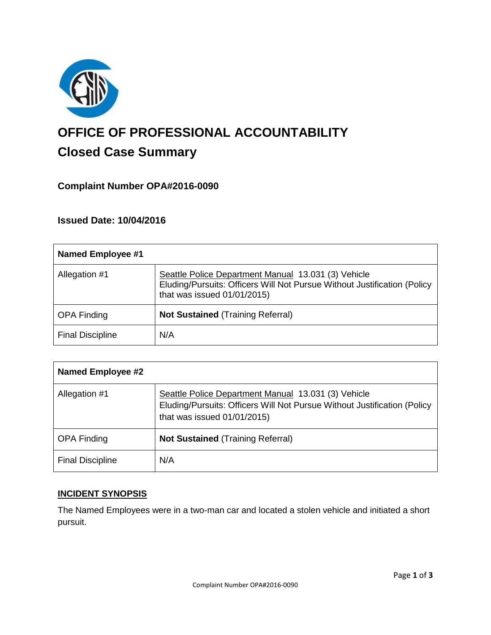

# **OFFICE OF PROFESSIONAL ACCOUNTABILITY Closed Case Summary**

# **Complaint Number OPA#2016-0090**

## **Issued Date: 10/04/2016**

| <b>Named Employee #1</b> |                                                                                                                                                                |
|--------------------------|----------------------------------------------------------------------------------------------------------------------------------------------------------------|
| Allegation #1            | Seattle Police Department Manual 13.031 (3) Vehicle<br>Eluding/Pursuits: Officers Will Not Pursue Without Justification (Policy<br>that was issued 01/01/2015) |
| <b>OPA Finding</b>       | <b>Not Sustained (Training Referral)</b>                                                                                                                       |
| <b>Final Discipline</b>  | N/A                                                                                                                                                            |

| <b>Named Employee #2</b> |                                                                                                                                                                |
|--------------------------|----------------------------------------------------------------------------------------------------------------------------------------------------------------|
| Allegation #1            | Seattle Police Department Manual 13.031 (3) Vehicle<br>Eluding/Pursuits: Officers Will Not Pursue Without Justification (Policy<br>that was issued 01/01/2015) |
| <b>OPA Finding</b>       | <b>Not Sustained (Training Referral)</b>                                                                                                                       |
| <b>Final Discipline</b>  | N/A                                                                                                                                                            |

## **INCIDENT SYNOPSIS**

The Named Employees were in a two-man car and located a stolen vehicle and initiated a short pursuit.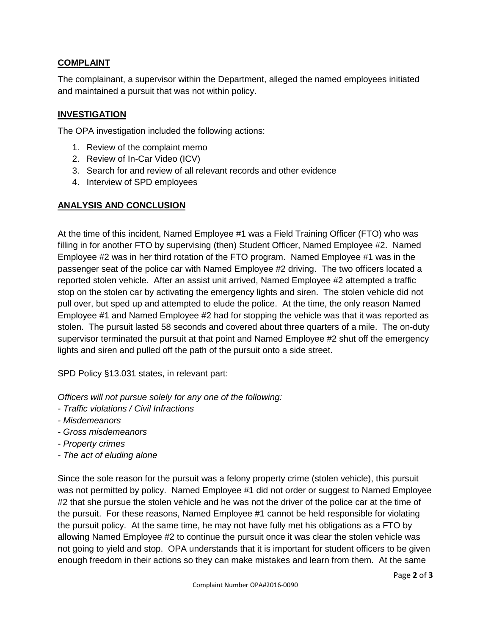# **COMPLAINT**

The complainant, a supervisor within the Department, alleged the named employees initiated and maintained a pursuit that was not within policy.

# **INVESTIGATION**

The OPA investigation included the following actions:

- 1. Review of the complaint memo
- 2. Review of In-Car Video (ICV)
- 3. Search for and review of all relevant records and other evidence
- 4. Interview of SPD employees

# **ANALYSIS AND CONCLUSION**

At the time of this incident, Named Employee #1 was a Field Training Officer (FTO) who was filling in for another FTO by supervising (then) Student Officer, Named Employee #2. Named Employee #2 was in her third rotation of the FTO program. Named Employee #1 was in the passenger seat of the police car with Named Employee #2 driving. The two officers located a reported stolen vehicle. After an assist unit arrived, Named Employee #2 attempted a traffic stop on the stolen car by activating the emergency lights and siren. The stolen vehicle did not pull over, but sped up and attempted to elude the police. At the time, the only reason Named Employee #1 and Named Employee #2 had for stopping the vehicle was that it was reported as stolen. The pursuit lasted 58 seconds and covered about three quarters of a mile. The on-duty supervisor terminated the pursuit at that point and Named Employee #2 shut off the emergency lights and siren and pulled off the path of the pursuit onto a side street.

SPD Policy §13.031 states, in relevant part:

*Officers will not pursue solely for any one of the following:*

- *- Traffic violations / Civil Infractions*
- *- Misdemeanors*
- *- Gross misdemeanors*
- *- Property crimes*
- *- The act of eluding alone*

Since the sole reason for the pursuit was a felony property crime (stolen vehicle), this pursuit was not permitted by policy. Named Employee #1 did not order or suggest to Named Employee #2 that she pursue the stolen vehicle and he was not the driver of the police car at the time of the pursuit. For these reasons, Named Employee #1 cannot be held responsible for violating the pursuit policy. At the same time, he may not have fully met his obligations as a FTO by allowing Named Employee #2 to continue the pursuit once it was clear the stolen vehicle was not going to yield and stop. OPA understands that it is important for student officers to be given enough freedom in their actions so they can make mistakes and learn from them. At the same